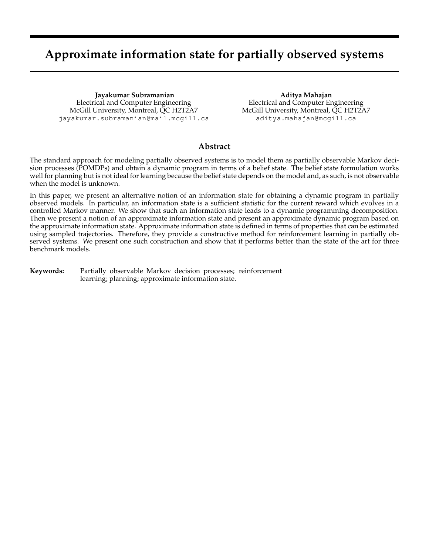# **Approximate information state for partially observed systems**

**Jayakumar Subramanian** Electrical and Computer Engineering McGill University, Montreal, QC H2T2A7 jayakumar.subramanian@mail.mcgill.ca

**Aditya Mahajan** Electrical and Computer Engineering McGill University, Montreal, QC H2T2A7 aditya.mahajan@mcgill.ca

# **Abstract**

The standard approach for modeling partially observed systems is to model them as partially observable Markov decision processes (POMDPs) and obtain a dynamic program in terms of a belief state. The belief state formulation works well for planning but is not ideal for learning because the belief state depends on the model and, as such, is not observable when the model is unknown.

In this paper, we present an alternative notion of an information state for obtaining a dynamic program in partially observed models. In particular, an information state is a sufficient statistic for the current reward which evolves in a controlled Markov manner. We show that such an information state leads to a dynamic programming decomposition. Then we present a notion of an approximate information state and present an approximate dynamic program based on the approximate information state. Approximate information state is defined in terms of properties that can be estimated using sampled trajectories. Therefore, they provide a constructive method for reinforcement learning in partially observed systems. We present one such construction and show that it performs better than the state of the art for three benchmark models.

**Keywords:** Partially observable Markov decision processes; reinforcement learning; planning; approximate information state.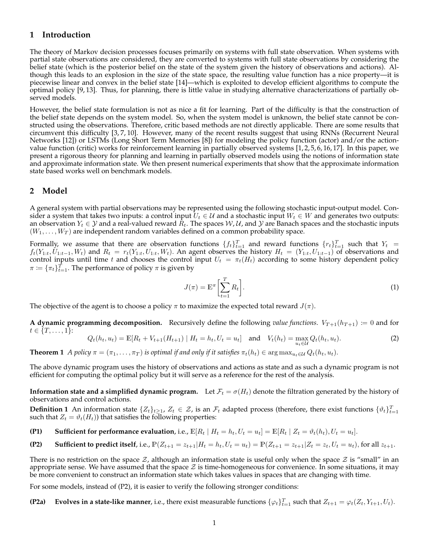# **1 Introduction**

The theory of Markov decision processes focuses primarily on systems with full state observation. When systems with partial state observations are considered, they are converted to systems with full state observations by considering the belief state (which is the posterior belief on the state of the system given the history of observations and actions). Although this leads to an explosion in the size of the state space, the resulting value function has a nice property—it is piecewise linear and convex in the belief state [14]—which is exploited to develop efficient algorithms to compute the optimal policy [9, 13]. Thus, for planning, there is little value in studying alternative characterizations of partially observed models.

However, the belief state formulation is not as nice a fit for learning. Part of the difficulty is that the construction of the belief state depends on the system model. So, when the system model is unknown, the belief state cannot be constructed using the observations. Therefore, critic based methods are not directly applicable. There are some results that circumvent this difficulty [3, 7, 10]. However, many of the recent results suggest that using RNNs (Recurrent Neural Networks [12]) or LSTMs (Long Short Term Memories [8]) for modeling the policy function (actor) and/or the actionvalue function (critic) works for reinforcement learning in partially observed systems [1,2,5,6,16,17]. In this paper, we present a rigorous theory for planning and learning in partially observed models using the notions of information state and approximate information state. We then present numerical experiments that show that the approximate information state based works well on benchmark models.

## **2 Model**

A general system with partial observations may be represented using the following stochastic input-output model. Consider a system that takes two inputs: a control input  $U_t \in \mathcal{U}$  and a stochastic input  $W_t \in W$  and generates two outputs: an observation  $Y_t \in \mathcal{Y}$  and a real-valued reward  $R_t$ . The spaces  $\mathcal{W}, \mathcal{U}$ , and  $\mathcal{Y}$  are Banach spaces and the stochastic inputs  $(W_1, \ldots, W_T)$  are independent random variables defined on a common probability space.

Formally, we assume that there are observation functions  $\{f_t\}_{t=1}^T$  and reward functions  $\{r_t\}_{t=1}^T$  such that  $Y_t =$  $f_t(Y_{1:t}, U_{1:t-1}, W_t)$  and  $R_t = r_t(Y_{1:t}, U_{1:t}, W_t)$ . An agent observes the history  $H_t = (Y_{1:t}, U_{1:t-1})$  of observations and control inputs until time t and chooses the control input  $U_t = \pi_t(H_t)$  according to some history dependent policy  $\pi \coloneqq {\{\pi_t\}}_{t=1}^T$ . The performance of policy  $\pi$  is given by

$$
J(\pi) = \mathbb{E}^{\pi} \left[ \sum_{t=1}^{T} R_t \right].
$$
 (1)

The objective of the agent is to choose a policy  $\pi$  to maximize the expected total reward  $J(\pi)$ .

**A dynamic programming decomposition.** Recursively define the following *value functions*.  $V_{T+1}(h_{T+1}) = 0$  and for  $t \in \{T, \ldots, 1\}$ :

$$
Q_t(h_t, u_t) = \mathbb{E}[R_t + V_{t+1}(H_{t+1}) | H_t = h_t, U_t = u_t] \text{ and } V_t(h_t) = \max_{u_t \in \mathcal{U}} Q_t(h_t, u_t).
$$
 (2)

**Theorem 1** *A policy*  $\pi = (\pi_1, \dots, \pi_T)$  *is optimal if and only if it satisfies*  $\pi_t(h_t) \in \arg \max_{u_t \in \mathcal{U}} Q_t(h_t, u_t)$ .

The above dynamic program uses the history of observations and actions as state and as such a dynamic program is not efficient for computing the optimal policy but it will serve as a reference for the rest of the analysis.

**Information state and a simplified dynamic program.** Let  $\mathcal{F}_t = \sigma(H_t)$  denote the filtration generated by the history of observations and control actions.

**Definition 1** An information state  $\{Z_t\}_{t\geq 1}$ ,  $Z_t \in \mathcal{Z}$ , is an  $\mathcal{F}_t$  adapted process (therefore, there exist functions  $\{\vartheta_t\}_{t=1}^T$ such that  $Z_t = \vartheta_t(H_t)$  that satisfies the following properties:

**(P1) Sufficient for performance evaluation**, i.e.,  $\mathbb{E}[R_t | H_t = h_t, U_t = u_t] = \mathbb{E}[R_t | Z_t = \vartheta_t(h_t), U_t = u_t].$ 

(P2) Sufficient to predict itself, i.e., 
$$
\mathbb{P}(Z_{t+1} = z_{t+1} | H_t = h_t, U_t = u_t) = \mathbb{P}(Z_{t+1} = z_{t+1} | Z_t = z_t, U_t = u_t)
$$
, for all  $z_{t+1}$ .

There is no restriction on the space  $\mathcal{Z}$ , although an information state is useful only when the space  $\mathcal{Z}$  is "small" in an appropriate sense. We have assumed that the space  $\mathcal Z$  is time-homogeneous for convenience. In some situations, it may be more convenient to construct an information state which takes values in spaces that are changing with time.

For some models, instead of (P2), it is easier to verify the following stronger conditions:

**(P2a)** Evolves in a state-like manner, i.e., there exist measurable functions  $\{\varphi_t\}_{t=1}^T$  such that  $Z_{t+1} = \varphi_t(Z_t, Y_{t+1}, U_t)$ .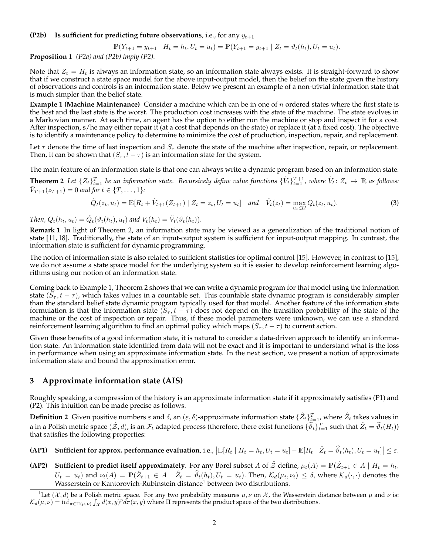#### **(P2b) Is sufficient for predicting future observations**, i.e., for any  $y_{t+1}$

$$
\mathbb{P}(Y_{t+1} = y_{t+1} | H_t = h_t, U_t = u_t) = \mathbb{P}(Y_{t+1} = y_{t+1} | Z_t = \vartheta_t(h_t), U_t = u_t).
$$

**Proposition 1** *(P2a) and (P2b) imply (P2).*

Note that  $Z_t = H_t$  is always an information state, so an information state always exists. It is straight-forward to show that if we construct a state space model for the above input-output model, then the belief on the state given the history of observations and controls is an information state. Below we present an example of a non-trivial information state that is much simpler than the belief state.

**Example 1 (Machine Maintenance)** Consider a machine which can be in one of n ordered states where the first state is the best and the last state is the worst. The production cost increases with the state of the machine. The state evolves in a Markovian manner. At each time, an agent has the option to either run the machine or stop and inspect it for a cost. After inspection, s/he may either repair it (at a cost that depends on the state) or replace it (at a fixed cost). The objective is to identify a maintenance policy to determine to minimize the cost of production, inspection, repair, and replacement.

Let  $\tau$  denote the time of last inspection and  $S_{\tau}$  denote the state of the machine after inspection, repair, or replacement. Then, it can be shown that  $(S_{\tau}, t - \tau)$  is an information state for the system.

The main feature of an information state is that one can always write a dynamic program based on an information state.

**Theorem 2** Let  $\{Z_t\}_{t=1}^T$  be an information state. Recursively define value functions  $\{\tilde{V}_t\}_{t=1}^{T+1}$ , where  $\tilde{V}_t: Z_t \mapsto \mathbb{R}$  as follows:  $\tilde{V}_{T+1}(z_{T+1}) = 0$  and for  $t \in \{T, \ldots, 1\}$ :

$$
\tilde{Q}_t(z_t, u_t) = \mathbb{E}[R_t + \tilde{V}_{t+1}(Z_{t+1}) | Z_t = z_t, U_t = u_t] \quad \text{and} \quad \tilde{V}_t(z_t) = \max_{u_t \in \mathcal{U}} Q_t(z_t, u_t). \tag{3}
$$

*Then,*  $Q_t(h_t, u_t) = \tilde{Q}_t(\vartheta_t(h_t), u_t)$  and  $V_t(h_t) = \tilde{V}_t(\vartheta_t(h_t)).$ 

**Remark 1** In light of Theorem 2, an information state may be viewed as a generalization of the traditional notion of state [11, 18]. Traditionally, the state of an input-output system is sufficient for input-output mapping. In contrast, the information state is sufficient for dynamic programming.

The notion of information state is also related to sufficient statistics for optimal control [15]. However, in contrast to [15], we do not assume a state space model for the underlying system so it is easier to develop reinforcement learning algorithms using our notion of an information state.

Coming back to Example 1, Theorem 2 shows that we can write a dynamic program for that model using the information state  $(S_{\tau}, t-\tau)$ , which takes values in a countable set. This countable state dynamic program is considerably simpler than the standard belief state dynamic program typically used for that model. Another feature of the information state formulation is that the information state  $(S_\tau, t - \tau)$  does not depend on the transition probability of the state of the machine or the cost of inspection or repair. Thus, if these model parameters were unknown, we can use a standard reinforcement learning algorithm to find an optimal policy which maps  $(S_\tau, t - \tau)$  to current action.

Given these benefits of a good information state, it is natural to consider a data-driven approach to identify an information state. An information state identified from data will not be exact and it is important to understand what is the loss in performance when using an approximate information state. In the next section, we present a notion of approximate information state and bound the approximation error.

## **3 Approximate information state (AIS)**

Roughly speaking, a compression of the history is an approximate information state if it approximately satisfies (P1) and (P2). This intuition can be made precise as follows.

**Definition 2** Given positive numbers  $\varepsilon$  and  $\delta$ , an  $(\varepsilon, \delta)$ -approximate information state  $\{\hat{Z}_t\}_{t=1}^T$ , where  $\hat{Z}_t$  takes values in a in a Polish metric space  $(\hat{Z}, d)$ , is an  $\mathcal{F}_t$  adapted process (therefore, there exist functions  $\{\widehat{\vartheta}_t\}_{t=1}^T$  such that  $\hat{Z}_t = \widehat{\vartheta}_t(H_t)$ ) that satisfies the following properties:

**(AP1)** Sufficient for approx. performance evaluation, i.e.,  $\left| \mathbb{E}[R_t | H_t = h_t, U_t = u_t] - \mathbb{E}[R_t | \hat{Z}_t = \hat{\vartheta}_t(h_t), U_t = u_t] \right| \leq \varepsilon$ .

**(AP2) Sufficient to predict itself approximately**. For any Borel subset A of  $\hat{\mathcal{Z}}$  define,  $\mu_t(A) = \mathbb{P}(\hat{Z}_{t+1} \in A \mid H_t = h_t$ ,  $U_t = u_t$ ) and  $\nu_t(A) = \mathbb{P}(\hat{Z}_{t+1} \in A \mid \hat{Z}_t = \hat{\vartheta}_t(h_t), U_t = u_t)$ . Then,  $\mathcal{K}_d(\mu_t, \nu_t) \leq \delta$ , where  $\mathcal{K}_d(\cdot, \cdot)$  denotes the Wasserstein or Kantorovich-Rubinstein distance<sup>1</sup> between two distributions.

<sup>&</sup>lt;sup>1</sup>Let  $(\mathcal{X}, d)$  be a Polish metric space. For any two probability measures  $\mu, \nu$  on  $\mathcal{X}$ , the Wasserstein distance between  $\mu$  and  $\nu$  is:  $\mathcal{K}_d(\mu, \nu) = \inf_{\pi \in \Pi(\mu, \nu)} \int_{\mathcal{X}} d(x, y)^p d\pi(x, y)$  where  $\Pi$  represents the product space of the two distributions.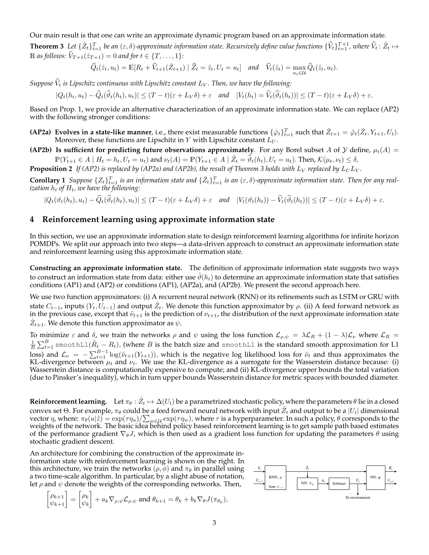Our main result is that one can write an approximate dynamic program based on an approximate information state. **Theorem 3** Let  $\{\hat{Z}_t\}_{t=1}^T$  be an  $(\varepsilon, \delta)$ -approximate information state. Recursively define value functions  $\{\hat{V}_t\}_{t=1}^{T+1}$ , where  $\hat{V}_t: \hat{Z}_t \mapsto$  $\mathbb{R}$  *as follows:*  $\hat{V}_{T+1}(\hat{z}_{T+1}) = 0$  *and for*  $t \in \{T, \ldots, 1\}$ *:* 

$$
\widehat{Q}_t(\hat{z}_t, u_t) = \mathbb{E}[R_t + \widehat{V}_{t+1}(\hat{Z}_{t+1}) | \widehat{Z}_t = \hat{z}_t, U_t = u_t] \quad \text{and} \quad \widehat{V}_t(\hat{z}_t) = \max_{u_t \in \mathcal{U}} \widehat{Q}_t(\hat{z}_t, u_t).
$$

*Suppose*  $\hat{V}_t$  *is Lipschitz continuous with Lipschitz constant*  $L_V$ *. Then, we have the following:* 

 $|Q_t(h_t,u_t) - \widehat{Q}_t(\widehat{\vartheta}_t(h_t),u_t)| \leq (T-t)(\varepsilon + L_V\delta) + \varepsilon \quad \text{and} \quad |V_t(h_t) = \widehat{V}_t(\widehat{\vartheta}_t(h_t))| \leq (T-t)(\varepsilon + L_V\delta) + \varepsilon.$ 

Based on Prop. 1, we provide an alternative characterization of an approximate information state. We can replace (AP2) with the following stronger conditions:

- **(AP2a)** Evolves in a state-like manner, i.e., there exist measurable functions  $\{\hat{\varphi}_t\}_{t=1}^T$  such that  $\hat{Z}_{t+1} = \hat{\varphi}_t(\hat{Z}_t, Y_{t+1}, U_t)$ . Moreover, these functions are Lipschitz in  $Y$  with Lipschitz constant  $L_U$ .
- **(AP2b)** Is sufficient for predicting future observations approximately. For any Borel subset A of Y define,  $\mu_t(A)$  =  $\mathbb{P}(Y_{t+1} \in A \mid H_t = h_t, U_t = u_t)$  and  $\nu_t(A) = \mathbb{P}(Y_{t+1} \in A \mid \hat{Z}_t = \hat{\vartheta}_t(h_t), U_t = u_t)$ . Then,  $\mathcal{K}(\mu_t, \nu_t) \leq \delta$ ,
- **Proposition 2** If (AP2) is replaced by (AP2a) and (AP2b), the result of Theorem 3 holds with  $L_V$  replaced by  $L_U L_V$ .

**Corollary 1** *Suppose*  $\{Z_t\}_{t=1}^T$  *is an information state and*  $\{\hat{Z}_t\}_{t=1}^T$  *is an*  $(\varepsilon, \delta)$ -approximate information state. Then for any real*ization*  $h_t$  *of*  $H_t$ , we have the following:

$$
|Q_t(\vartheta_t(h_t), u_t) - \widehat{Q}_t(\widehat{\vartheta}_t(h_t), u_t)| \le (T - t)(\varepsilon + L_V \delta) + \varepsilon \quad \text{and} \quad |V_t(\vartheta_t(h_t)) - \widehat{V}_t(\widehat{\vartheta}_t(h_t))| \le (T - t)(\varepsilon + L_V \delta) + \varepsilon.
$$

# **4 Reinforcement learning using approximate information state**

In this section, we use an approximate information state to design reinforcement learning algorithms for infinite horizon POMDPs. We split our approach into two steps—a data-driven approach to construct an approximate information state and reinforcement learning using this approximate information state.

**Constructing an approximate information state.** The definition of approximate information state suggests two ways to construct an information state from data: either use  $\vartheta(h_t)$  to determine an approximate information state that satisfies conditions (AP1) and (AP2) or conditions (AP1), (AP2a), and (AP2b). We present the second approach here.

We use two function approximators: (i) A recurrent neural network (RNN) or its refinements such as LSTM or GRU with state  $C_{t-1}$ , inputs  $(Y_t, U_{t-1})$  and output  $\hat{Z}_t$ . We denote this function approximator by  $\rho$ . (ii) A feed forward network as in the previous case, except that  $\tilde{\nu}_{t+1}$  is the prediction of  $\nu_{t+1}$ , the distribution of the next approximate information state  $\hat{Z}_{t+1}$ . We denote this function approximator as  $\psi$ .

To minimize  $\varepsilon$  and  $\delta$ , we train the networks  $\rho$  and  $\psi$  using the loss function  $\mathcal{L}_{\rho,\psi} = \lambda \mathcal{L}_R + (1 - \lambda) \mathcal{L}_{\nu}$  where  $\mathcal{L}_R =$  $\frac{1}{B}\sum_{t=1}^B$  smoothL1( $\tilde{R}_t-R_t$ ), (where  $B$  is the batch size and smoothL1 is the standard smooth approximation for L1 loss) and  $\mathcal{L}_{\nu} = -\sum_{t=1}^{B-1} \log(\tilde{\nu}_{t+1}(Y_{t+1})),$  which is the negative log likelihood loss for  $\tilde{\nu}_t$  and thus approximates the KL-divergence between  $\mu_t$  and  $\nu_t$ . We use the KL-divergence as a surrogate for the Wasserstein distance because: (i) Wasserstein distance is computationally expensive to compute; and (ii) KL-divergence upper bounds the total variation (due to Pinsker's inequality), which in turn upper bounds Wasserstein distance for metric spaces with bounded diameter.

**Reinforcement learning.** Let  $\pi_\theta : \hat{Z}_t \mapsto \Delta(U_t)$  be a parametrized stochastic policy, where the parameters  $\theta$  lie in a closed convex set  $\Theta$ . For example,  $\pi_{\theta}$  could be a feed forward neural network with input  $\hat{Z}_t$  and output to be a  $|U_t|$  dimensional vector  $\eta$ , where:  $\pi_{\theta}(u|\hat{z}) = \exp(\tau \eta_u)/\sum_{w \in \mathcal{U}} \exp(\tau \eta_w)$ , where  $\tau$  is a hyperparameter. In such a policy,  $\theta$  corresponds to the weights of the network. The basic idea behind policy based reinforcement learning is to get sample path based estimates of the performance gradient  $\nabla_{\theta}J$ , which is then used as a gradient loss function for updating the parameters  $\theta$  using stochastic gradient descent.

An architecture for combining the construction of the approximate information state with reinforcement learning is shown on the right. In this architecture, we train the networks  $(\rho, \phi)$  and  $\pi_{\theta}$  in parallel using a two time-scale algorithm. In particular, by a slight abuse of notation, let  $\rho$  and  $\psi$  denote the weights of the corresponding networks. Then,

$$
\begin{bmatrix} \rho_{k+1} \\ \psi_{k+1} \end{bmatrix} = \begin{bmatrix} \rho_k \\ \psi_k \end{bmatrix} + a_k \nabla_{\rho, \psi} \mathcal{L}_{\rho, \psi} \text{ and } \theta_{k+1} = \theta_k + b_k \nabla_{\theta} J(\pi_{\theta_k}),
$$